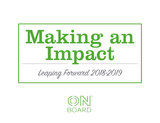

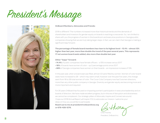# President's Message



#### **OnBoard Members, Advocates and Friends:**

2018 is different! The numbers increased more than historical trends and the demands of shareholders and investors for gender equity on boards is reaching a crescendo. So, I am thrilled to share with you the progress of women in the boardroom and executive positions in Georgia public companies showing that we are truly taking larger steps. In fact, we can claim that Georgia is making a significant leap forward.

**The percentage of female board members has risen to its highest level – 15.4% – almost 12% higher than last year, more than double the trend of the past several years. This represents 17 net women board seats added, also more than double last year.**

### **Other "leaps" forward:**

- **14.4%** of public companies have female officers a 15% increase versus 2017
- **18%** of boards have women of color up 2 percentage points since 2017
- **68%** of Georgia companies have women on their boards an impressive increase of 13%

In the past year, when a board seat was filled, almost 1/3 were filled by women. Women of color board seats have increased to 28 – which may seem small, however over the past five years, the change went from 18 to 28 total women of color. The Coca-Cola Company now has 5 women directors, more than any other public company in Georgia. Diversity and gender equity are becoming more and more important and required.

For 26 years OnBoard has focused on impacting women's participation in executive leadership and on boards of directors. We have made excellent progress, but in this era of disruption and divisiveness we cannot be complacent. Our strategic pillars of Advocate, Inspire and Connect are sound. I hope our 2018 Annual Report will inspire YOU to advocate our mission. I welcome your ideas on how you would like to participate.

**Reach out to me at president@onboardnow.org or 678-428-1276.**

Cheri Husney

President, OnBoard Inc.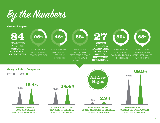

**OnBoard Impact**

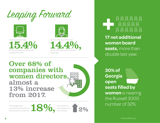



 Women directors hold of GA board seats, an almost 12% increase from 2017.



Women executive officers are versus a flat 12% to 12.5% three years. Women directors hold<br> **15.4.4% 14.4% 14.4%, 14.4% 14.4%, 14.4%, 14.4%, 14.4%, 14.4%, 14.4%, 14.4%, 14.4%, 14.4%, 14.4%, 14.4%, 14.4%, 14.4%, 14.4%, 14.4%, 14.4%, 14.4%, 14.4%, 14.4%, 14.4%, 14.4%, 14.4%, 14.4%, 14.4%, 14.4** 

## Over 68% of companies with women directors, almost a 13% increase from 2017.

The Georgia public companies with Women of Color directors are almost



an increase of 2 percentage points from last year.



 $A$  $A$  $A$  $A$  $A$  $\bigcircled{{}^{\mathcal{B}}}\bigcircled{{}^{\mathcal{B}}}\bigcircled{{}^{\mathcal{B}}}\bigcircled{{}^{\mathcal{B}}}\bigcircled{{}^{\mathcal{B}}}\bigcircled{{}^{\mathcal{B}}}\bigcircled{{}^{\mathcal{B}}}\bigcircled{{}^{\mathcal{B}}}\bigcircled{{}^{\mathcal{B}}}\bigcircled{{}^{\mathcal{B}}}\bigcircled{{}^{\mathcal{B}}}\bigcircled{{}^{\mathcal{B}}}\bigcircled{{}^{\mathcal{B}}}\bigcircled{{}^{\mathcal{B}}}\bigcircled{{}^{\mathcal{B}}}\bigcircled{{}^{\mathcal{B}}}\bigcircled{{}^{\mathcal{B$ 

**17 net additional women board seats,** more than double last year.

**30% of Georgia open seats filled by women** is nearing the Russell 3000

OnBoardNow.org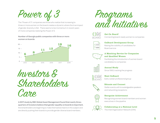Power of 3

The "Power of 3" companies are those who realize that increasing to three or more women on the board creates a dynamic where the true impact of gender diversity is felt. There seems to be momentum in recent years of more companies realizing the Power of 3.

### **Number of Georgia public companies with three or more women on boards:**





**A 2017 study by RBC Global Asset Management found that nearly threequarters of investors believe that gender equality on boards is important.**  And shareholders are beginning to make themselves heard on this subject and are directly pushing their boards to provide gender diverse board members.





Get On Board! Connecting board-ready women to companies



OnBoard Development Group Raising the visibility of candidates for Board service



A Matching Service for Companies and Qualified Women Facilitating the introduction of women board

candidates to companies



Annual Study Since 1993, tracking the progress



Early-career professional group



Educate and Connect Stellar events with knowledgeable speakers and networking receptions



Recognize Achievement Recognizing women board members and women executives in the pipeline



Collaborating at a National Level The InterOrganization Network (ION)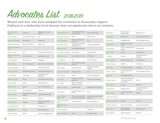Advocates List 2018-2019

Women and men who have accepted the invitation to financially support OnBoard at a leadership level because they are passionate about our mission

The Coca-Cola Company

State Bank & Trust Company

Centers for Disease Control &

The Burks Companies, Inc.

| Cathy Callaway<br><b>Adams</b>      | EVP&COO                               | Federal Home Loan Bank<br>Atlanta          | <b>Rosalind G. Brewer</b>         | Chief Operating Officer &<br>Group President         | <b>Starbucks Corporation</b>          |
|-------------------------------------|---------------------------------------|--------------------------------------------|-----------------------------------|------------------------------------------------------|---------------------------------------|
| <b>Kristin Adams</b>                | <b>Executive Vice President</b>       | Aon                                        | <b>Kimberly P. Brunson</b>        | Partner                                              | Deloitte Tax LLP                      |
| Peggy Allumbaugh                    | <b>Retired Partner</b>                | Deloitte LLP                               | <b>Miriam Burgess</b>             | Partner, Global Account<br>Executive                 | Aon                                   |
| <b>Margaret Anderson</b>            | Senior Vice President                 | <b>SAP America</b>                         | <b>Suzanne E. Burks</b>           | Senior Advisor and Chief<br>Marketing Officer        | The Burks Companies, I                |
| Rhona S. Applebaum,<br>PhD          |                                       |                                            | <b>Elizabeth Camp</b>             | Corporate Board Member                               |                                       |
| Andrea Arena                        | CEO                                   | Time Squared Concierge, LLC                | <b>Ann-Marie Campbell</b>         | EVP, US Stores                                       | The Home Depot                        |
| Claire (Yum) Lewis<br><b>Arnold</b> | CEO and Founder                       | Leapfrog Services, Inc.                    | <b>Shellie Cherner</b>            | Director & Senior Counsel                            | Iron Mountain                         |
| L. Scott Askins                     | General Counsel                       | Kabbage, Inc.                              | Lea Clingman                      | <b>SVP</b>                                           | Hitachi Consulting                    |
| <b>Phyllis Austin</b>               | SVP Human Resources                   | Boys & Girls Clubs of America              | Almeta E. Cooper                  | Retired Healthcare Lawyer<br>& Advisor               |                                       |
| DeLois B. Babiker                   | CEO                                   | Intellectual Concepts                      | <b>Shan Cooper</b>                | <b>Executive Director</b>                            | Atlanta Committee for<br>Progress     |
| <b>Cindy Baerman</b>                | Board Member and CEO                  | <b>Executive Advisory Services</b>         | <b>Lurline Craig-Burke</b>        | Managing Director                                    | Aon                                   |
| <b>Jim Balkcom</b>                  | Lead Director                         | <b>State Bank Financial</b><br>Corporation | <b>Frank Dalton</b>               | Partner                                              | Fulcrum Equity Partners               |
| <b>Michael Baroody</b>              | Partner                               | Harvard Group International                | Paula Dart                        | VP Global Commercial<br>Leadership                   | The Coca-Cola Compar                  |
| Susan R. Bell                       | Partner                               | Ernst & Young LLP                          | <b>Lucille Heil</b>               | Senior Vice President<br>Operations - Atlanta        | JLL                                   |
| <b>Tim Bentsen</b>                  | Director                              | Synovus Financial Corp.                    | <b>Steven G. Deaton</b>           | Chief Risk Officer                                   | State Bank & Trust Com                |
| Kathy T. Betty                      | Corporate Director                    | Aaron's, Inc.                              | <b>Neeti Dewan</b>                | Principal & Global Practice<br>Leader                | Ryan                                  |
| <b>Becky Blalock</b>                | Managing Partner, Advisory<br>Capital | Corporate Board Member                     |                                   |                                                      |                                       |
| <b>Katherine Blue</b>               | Principal                             | <b>KPMG LLP</b>                            | Avis D. Dickey,<br>D.B.A., M.S.   | Sr. Advisor to the CHCO &<br>Deputy Ethics Counselor | Centers for Disease Cor<br>Prevention |
| <b>Sue Boehlke</b>                  | President                             | Informa Transportation<br>Intelligence     | <b>Constance Dierickx,</b><br>PhD | Founder/President                                    | CD Consulting Group                   |
| L. Celeste Bottorff                 | CEO                                   | Hire Opportunity                           | Michael Dierickx,<br><b>CFP®</b>  |                                                      |                                       |
| <b>Denise Boyd</b>                  | Partner                               | <b>Grant Thornton LLP</b>                  | <b>Lynne Dougherty</b>            |                                                      | <b>LRD Ventures</b>                   |
| <b>Wayne Bradley</b>                | Partner                               | Squire Patton Boggs (US) LLP               | <b>Roxanne Douglas</b>            | Owner                                                | R Douglas Law Firm                    |
|                                     |                                       |                                            |                                   |                                                      |                                       |

| Dan Dubay                    | Partner, Director<br>SignatureEXEC                                     | SignatureFD, LLC                       |
|------------------------------|------------------------------------------------------------------------|----------------------------------------|
| <b>Ceree Eberly</b>          | <b>Board Director</b>                                                  | Qualfon, Inc, Gartner, LLC             |
| Erin Elliott                 | Managing Attorney                                                      | Elliott Immigration Law LLC            |
| <b>Jane Elliott</b>          | Payments Technology<br>Expert                                          |                                        |
| <b>Connie Engel</b>          | Partner - Development and<br>Leasing                                   | Childress Klein                        |
| <b>Sarah Ernst</b>           | Partner                                                                | Alston & Bird LLP                      |
| Joe Evans                    | Chairman                                                               | <b>State Bank and Trust</b><br>Company |
| <b>Dave Ferguson</b>         | Retired President / CEO                                                | Walmart Europe                         |
| <b>Rachel Finglass</b>       | President                                                              | TalentQuest                            |
| <b>Mary Ford</b>             | Chief Operating Officer                                                | Springbot                              |
| David L. Gamsey              | <b>Chief Financial Officer</b><br>& EVP                                | First Advantage Corporation            |
| <b>Kelly Gay</b>             | CEO & Board Member                                                     |                                        |
| <b>Heather Generes</b>       | Senior Vice President and<br>Chief Marketing Officer,<br>International | Equifax                                |
| <b>Julie Gerlach</b>         | Principal                                                              | <b>KPMGLLP</b>                         |
| <b>Jill Goodrich</b>         | President & CEO                                                        | Women's Chamber of<br>Commerce         |
| <b>Hetal Gordon</b>          | Director, Global Client<br>Lead                                        | Google                                 |
| Leigh Ann Groome             |                                                                        |                                        |
| <b>Jeffery Tobias Halter</b> | President                                                              | YWomen                                 |
| Nancy D. Halwig              | Senior Vice President                                                  | United Community Bank                  |
| Page Harty                   | Partner, Director<br>SignatureWOMEN                                    | SignatureFD, LLC                       |
| <b>Cheri Husney</b>          | <b>Executive Director</b>                                              | <b>KPMGLLP</b>                         |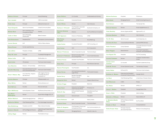| Rebecca Johnson                      | Principal                                            | <b>Extend Marketing</b>                                         |
|--------------------------------------|------------------------------------------------------|-----------------------------------------------------------------|
| <b>Terri Jondahl</b>                 | CEO                                                  | CAB Incorporated                                                |
| <b>Trish Jones</b>                   | Principal                                            | eMentorConnect LLC                                              |
| <b>Tasia Katapodis</b>               | Senior Vice President                                | United Community Bank                                           |
| Shivani Kaul                         | SVP, Chief Ethics and<br>Compliance Officer          | Avanos                                                          |
| Linda A. Klein                       | Senior Managing<br>Shareholder                       | <b>Baker Donelson</b>                                           |
| <b>Josh Kohnstamm</b>                | President/CEO                                        | Kohnstamm Communications                                        |
| <b>Lauren Koontz</b>                 | <b>EVP</b>                                           | YMCA of Metro Atlanta                                           |
| <b>Nancy Kumar</b>                   | Former Lead Attorney                                 |                                                                 |
| Lisa LaFave                          | President, US Sales                                  | <b>UPS®</b>                                                     |
| <b>Stacy M. Lewis</b>                | Principal                                            | TrueWealth Management                                           |
| <b>Helene Lollis</b>                 | CEO                                                  | Pathbuilders, Inc.                                              |
| <b>Annis Lyles</b>                   | VP (retired)                                         | The Coca-Cola Company                                           |
| Jane Mandula                         | Director - LP Committee                              | <b>WISC Partners</b>                                            |
| <b>Jennifer Manning</b>              | Associate General Counsel<br>and Corporate Secretary | The Coca-Cola Company                                           |
| Erica V. Mason, Esq.                 | Imm. Past Pres., Hispanic<br>Nat'l Bar Ass'n         | L&E Litigation Partner,<br>Constangy, Brooks &<br>Prophete, LLP |
| <b>Cynthia Masters</b>               | Principal                                            | CMastersHealth, LLC                                             |
| <b>Mary McCoy</b>                    | Partner                                              | McCoy Advisory LLC                                              |
| <b>Scott McCune</b>                  | Founder                                              | McCune Ventures                                                 |
| <b>Myra McElhaney</b>                | Author/Speaker, Owner                                | McElhaney & Associates, LLC                                     |
| <b>Ann-Marie</b><br><b>McGaughey</b> | Partner                                              | Squire Patton Boggs (US) LLP                                    |
| <b>Milford McGuirt</b>               | Atlanta Managing Partner                             | <b>KPMG LLP</b>                                                 |
| <b>Katharine Mobley</b>              | Chief Marketing Officer                              | First Advantage Corporation                                     |
| <b>Hala Moddelmog</b>                | President and CEO                                    | Metro Atlanta Chamber                                           |
| Sandra S. Morelli                    | SVP and Regional Director                            | Capital Group Private Client<br>Services                        |
| <b>Jeffrey Neppl</b>                 | Partner                                              | The Koblentz Group                                              |

Ξ

Ţ

Ī

Ŧ

Ŧ

Ξ

Τ

| <b>Susan Nethero</b>            | Co-Founder                                                  | Goldenseeds and Intimacy        |
|---------------------------------|-------------------------------------------------------------|---------------------------------|
| <b>Judi North</b>               | Corporate Director                                          |                                 |
| <b>Sarah O'Brien</b>            | Partner                                                     | Valor Ventures                  |
| Barbara J. O'Connell            | Vice President, Associate<br>General Counsel                | Southwire Company, LLC          |
| <b>Shannon Sweeney</b><br>Offen | Director                                                    | SunTrust Robinson Humphrey      |
| <b>Andi Oppmann</b>             | Director of Marketing                                       | <b>UPS®</b>                     |
| Elba Pareja-<br>Gallagher       | Founder                                                     | ShowMe50.org                    |
| <b>Jackie Parker</b>            | Founder & President                                         | JWP Consulting, LLC             |
| <b>Zach Parker</b>              | CEO                                                         | <b>DLH Corporation</b>          |
| <b>Monica F. Patterson</b>      | Senior Corporate Counsel                                    | The Home Depot                  |
| <b>Suzanne D. Patterson</b>     | Retired Controller, Chief<br><b>Accounting Officer</b>      | Coca-Cola Enterprises           |
| <b>Stefanie Paulos</b>          | Assistant Vice President                                    | The Coca-Cola Company           |
| <b>Betsy Peck</b>               | Principal                                                   | Peck Advisory Services          |
| <b>Ryanne Pennington</b>        | Vice President                                              | JLL                             |
| <b>Sloane Perras</b>            | SVP Chief Administrative &<br>Legal Officer                 | The Krystal Company             |
| <b>Rachel Perry</b>             | Resident Managing<br>Director-Atlanta                       | Aon                             |
| <b>Margarita Porto</b>          | Partner                                                     | Newport Board Group             |
| <b>Brittain Prigge</b>          | President                                                   | Balentine                       |
| <b>Alison Rand</b>              | Executive Vice President.<br><b>Chief Financial Officer</b> | Primerica, Inc.                 |
| Sheila E. Ray                   | <b>EVP and Chief Financial</b><br>Officer                   | State Bank and Trust<br>Company |
| <b>Amy Richter</b>              | Advisor/Coach                                               | ThingShift                      |
| <b>Karen Robinson</b>           | <b>EVP</b>                                                  | NanoLumens                      |
| <b>Suzanne Russo</b>            | Senior Corporate Counsel                                    | The Home Depot                  |
| Robin H. Sangston               | Vice President, Privacy and<br>Compliance Officer           | Cox Communications, Inc.        |
| <b>Jina Sanone</b>              | Managing Director                                           | Delta Air Lines, Inc.           |

| <b>Michele Sarkisian</b>         | President                                             | P3 Advisors                                           |
|----------------------------------|-------------------------------------------------------|-------------------------------------------------------|
| <b>Mike Schall</b>               | Managing Director                                     | Schall Consulting Group, Inc.                         |
| <b>Beth Schiavo</b>              | CEO                                                   | The Gender Plan                                       |
| <b>Deborah Sessions</b>          | Partner                                               | Porter Keadle Moore LLC                               |
| <b>Vicki Shackley</b>            | Partner, SignatureEXEC                                | SignatureFD, LLC                                      |
| <b>Veronica Sheehan</b>          | Partner                                               | Valor Ventures                                        |
| Tori M. Silas                    | Senior Counsel                                        | Cox Enterprises, Inc.                                 |
| <b>Christine St.Clare</b>        | Corporate Board Member                                | (retired KPMG Partner)                                |
| <b>Nadia Theodore</b>            | Consul General                                        | Consulate General of Canada<br>in Atlanta             |
| <b>Mimi Thigpen</b>              | <b>Board Director</b>                                 | Torchmark Corporation,<br>AchievelT, and OpsDataStore |
| Lisa Bigazzi Tilt                | President                                             | Full Tilt Consulting                                  |
| <b>Annette Tirabasso</b>         | Partner                                               | Tirabasso Transformation<br>Group                     |
| Carolyn (Lyn)<br><b>Turknett</b> | Co-founder                                            | Turknett Leadership Group                             |
| Leslie M. Turner                 | Former General Counsel                                | The Hershey Company                                   |
| <b>Kathy Waller</b>              | EVP and CFO                                           | The Coca-Cola Company                                 |
| Kathleen A. Walters              | Executive Vice President -<br>Consumer Products Group | Georgia-Pacific                                       |
| <b>Liz Ward</b>                  | Chief Marketing Officer                               | United Way of Greater Atlanta                         |
| <b>Jodi Weintraub</b>            | <b>CHRO</b>                                           | Phobio                                                |
| <b>Ken Welch</b>                 | Partner                                               | <b>KPMGLLP</b>                                        |
| Cheryl J. Weldon                 | President                                             | Georgia Peach Chic                                    |
| Rona L. Wells                    | President                                             | Wells Holdings                                        |
| Michelle A. Williams             | Partner                                               | Alston & Bird LLP                                     |
| A. Michelle (Shelli)<br>Willis   | SVP and Deputy General<br>Counsel                     | SunTrust Bank                                         |
| Phoebe A. Wood                   | Principal                                             | CompaniesWood                                         |
| <b>Dottie Frazier Yates</b>      | Principal, Financial<br>Services & Payments           | Midtown Consulting Group                              |
|                                  |                                                       |                                                       |